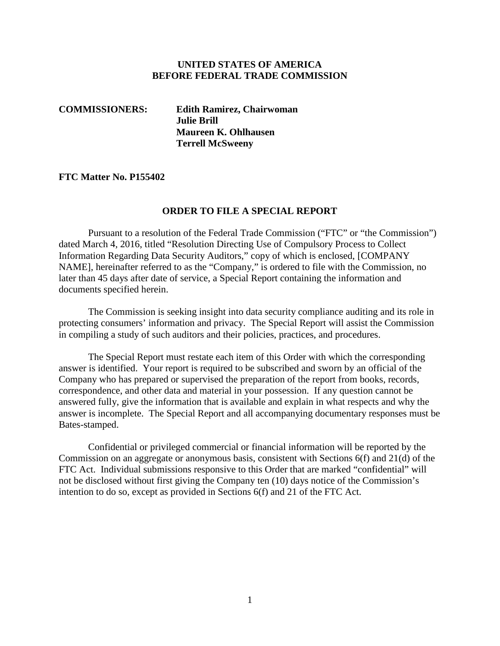#### **UNITED STATES OF AMERICA BEFORE FEDERAL TRADE COMMISSION**

**COMMISSIONERS: Edith Ramirez, Chairwoman Julie Brill Maureen K. Ohlhausen Terrell McSweeny**

#### **FTC Matter No. P155402**

#### **ORDER TO FILE A SPECIAL REPORT**

Pursuant to a resolution of the Federal Trade Commission ("FTC" or "the Commission") dated March 4, 2016, titled "Resolution Directing Use of Compulsory Process to Collect Information Regarding Data Security Auditors," copy of which is enclosed, [COMPANY NAME], hereinafter referred to as the "Company," is ordered to file with the Commission, no later than 45 days after date of service, a Special Report containing the information and documents specified herein.

The Commission is seeking insight into data security compliance auditing and its role in protecting consumers' information and privacy. The Special Report will assist the Commission in compiling a study of such auditors and their policies, practices, and procedures.

The Special Report must restate each item of this Order with which the corresponding answer is identified. Your report is required to be subscribed and sworn by an official of the Company who has prepared or supervised the preparation of the report from books, records, correspondence, and other data and material in your possession. If any question cannot be answered fully, give the information that is available and explain in what respects and why the answer is incomplete. The Special Report and all accompanying documentary responses must be Bates-stamped.

Confidential or privileged commercial or financial information will be reported by the Commission on an aggregate or anonymous basis, consistent with Sections 6(f) and 21(d) of the FTC Act. Individual submissions responsive to this Order that are marked "confidential" will not be disclosed without first giving the Company ten (10) days notice of the Commission's intention to do so, except as provided in Sections 6(f) and 21 of the FTC Act.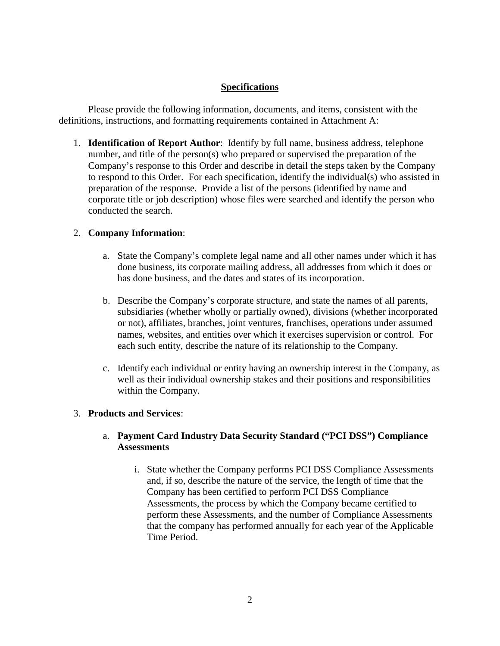# **Specifications**

Please provide the following information, documents, and items, consistent with the definitions, instructions, and formatting requirements contained in Attachment A:

1. **Identification of Report Author**: Identify by full name, business address, telephone number, and title of the person(s) who prepared or supervised the preparation of the Company's response to this Order and describe in detail the steps taken by the Company to respond to this Order. For each specification, identify the individual(s) who assisted in preparation of the response. Provide a list of the persons (identified by name and corporate title or job description) whose files were searched and identify the person who conducted the search.

# 2. **Company Information**:

- a. State the Company's complete legal name and all other names under which it has done business, its corporate mailing address, all addresses from which it does or has done business, and the dates and states of its incorporation.
- b. Describe the Company's corporate structure, and state the names of all parents, subsidiaries (whether wholly or partially owned), divisions (whether incorporated or not), affiliates, branches, joint ventures, franchises, operations under assumed names, websites, and entities over which it exercises supervision or control. For each such entity, describe the nature of its relationship to the Company.
- c. Identify each individual or entity having an ownership interest in the Company, as well as their individual ownership stakes and their positions and responsibilities within the Company.

# 3. **Products and Services**:

### a. **Payment Card Industry Data Security Standard ("PCI DSS") Compliance Assessments**

i. State whether the Company performs PCI DSS Compliance Assessments and, if so, describe the nature of the service, the length of time that the Company has been certified to perform PCI DSS Compliance Assessments, the process by which the Company became certified to perform these Assessments, and the number of Compliance Assessments that the company has performed annually for each year of the Applicable Time Period.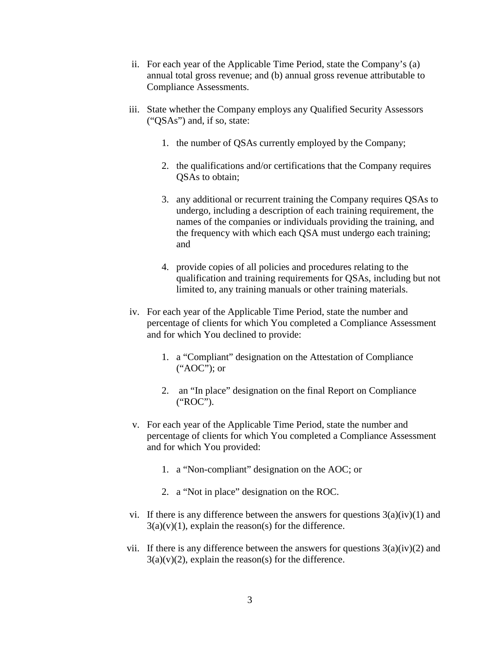- ii. For each year of the Applicable Time Period, state the Company's (a) annual total gross revenue; and (b) annual gross revenue attributable to Compliance Assessments.
- iii. State whether the Company employs any Qualified Security Assessors ("QSAs") and, if so, state:
	- 1. the number of QSAs currently employed by the Company;
	- 2. the qualifications and/or certifications that the Company requires QSAs to obtain;
	- 3. any additional or recurrent training the Company requires QSAs to undergo, including a description of each training requirement, the names of the companies or individuals providing the training, and the frequency with which each QSA must undergo each training; and
	- 4. provide copies of all policies and procedures relating to the qualification and training requirements for QSAs, including but not limited to, any training manuals or other training materials.
- iv. For each year of the Applicable Time Period, state the number and percentage of clients for which You completed a Compliance Assessment and for which You declined to provide:
	- 1. a "Compliant" designation on the Attestation of Compliance ("AOC"); or
	- 2. an "In place" designation on the final Report on Compliance ("ROC").
- v. For each year of the Applicable Time Period, state the number and percentage of clients for which You completed a Compliance Assessment and for which You provided:
	- 1. a "Non-compliant" designation on the AOC; or
	- 2. a "Not in place" designation on the ROC.
- vi. If there is any difference between the answers for questions  $3(a)(iv)(1)$  and  $3(a)(v)(1)$ , explain the reason(s) for the difference.
- vii. If there is any difference between the answers for questions  $3(a)(iv)(2)$  and  $3(a)(v)(2)$ , explain the reason(s) for the difference.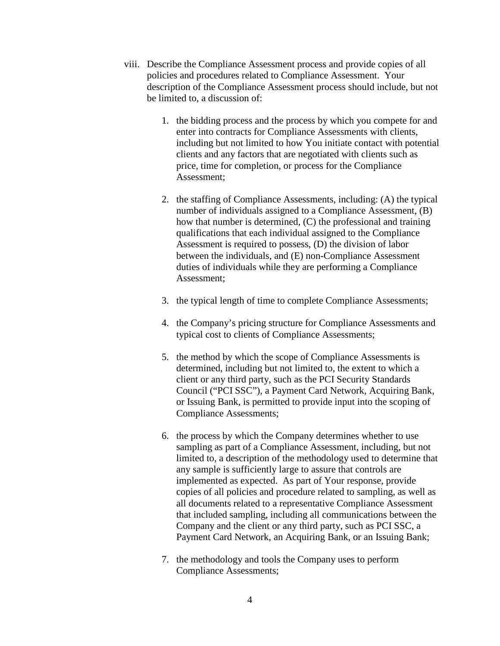- viii. Describe the Compliance Assessment process and provide copies of all policies and procedures related to Compliance Assessment. Your description of the Compliance Assessment process should include, but not be limited to, a discussion of:
	- 1. the bidding process and the process by which you compete for and enter into contracts for Compliance Assessments with clients, including but not limited to how You initiate contact with potential clients and any factors that are negotiated with clients such as price, time for completion, or process for the Compliance Assessment;
	- 2. the staffing of Compliance Assessments, including: (A) the typical number of individuals assigned to a Compliance Assessment, (B) how that number is determined, (C) the professional and training qualifications that each individual assigned to the Compliance Assessment is required to possess, (D) the division of labor between the individuals, and (E) non-Compliance Assessment duties of individuals while they are performing a Compliance Assessment;
	- 3. the typical length of time to complete Compliance Assessments;
	- 4. the Company's pricing structure for Compliance Assessments and typical cost to clients of Compliance Assessments;
	- 5. the method by which the scope of Compliance Assessments is determined, including but not limited to, the extent to which a client or any third party, such as the PCI Security Standards Council ("PCI SSC"), a Payment Card Network, Acquiring Bank, or Issuing Bank, is permitted to provide input into the scoping of Compliance Assessments;
	- 6. the process by which the Company determines whether to use sampling as part of a Compliance Assessment, including, but not limited to, a description of the methodology used to determine that any sample is sufficiently large to assure that controls are implemented as expected. As part of Your response, provide copies of all policies and procedure related to sampling, as well as all documents related to a representative Compliance Assessment that included sampling, including all communications between the Company and the client or any third party, such as PCI SSC, a Payment Card Network, an Acquiring Bank, or an Issuing Bank;
	- 7. the methodology and tools the Company uses to perform Compliance Assessments;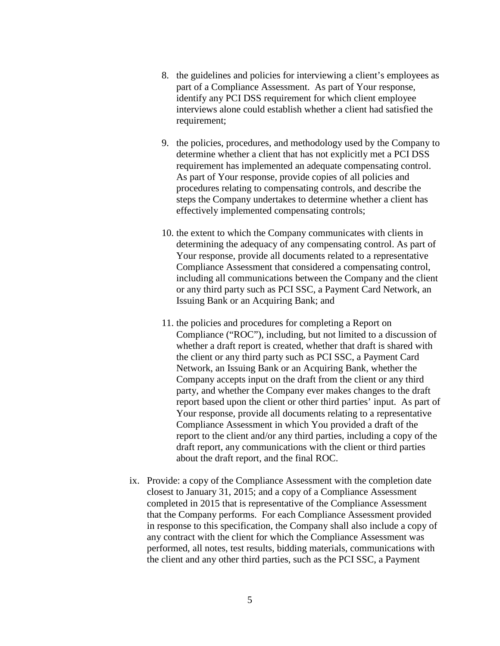- 8. the guidelines and policies for interviewing a client's employees as part of a Compliance Assessment. As part of Your response, identify any PCI DSS requirement for which client employee interviews alone could establish whether a client had satisfied the requirement;
- 9. the policies, procedures, and methodology used by the Company to determine whether a client that has not explicitly met a PCI DSS requirement has implemented an adequate compensating control. As part of Your response, provide copies of all policies and procedures relating to compensating controls, and describe the steps the Company undertakes to determine whether a client has effectively implemented compensating controls;
- 10. the extent to which the Company communicates with clients in determining the adequacy of any compensating control. As part of Your response, provide all documents related to a representative Compliance Assessment that considered a compensating control, including all communications between the Company and the client or any third party such as PCI SSC, a Payment Card Network, an Issuing Bank or an Acquiring Bank; and
- 11. the policies and procedures for completing a Report on Compliance ("ROC"), including, but not limited to a discussion of whether a draft report is created, whether that draft is shared with the client or any third party such as PCI SSC, a Payment Card Network, an Issuing Bank or an Acquiring Bank, whether the Company accepts input on the draft from the client or any third party, and whether the Company ever makes changes to the draft report based upon the client or other third parties' input. As part of Your response, provide all documents relating to a representative Compliance Assessment in which You provided a draft of the report to the client and/or any third parties, including a copy of the draft report, any communications with the client or third parties about the draft report, and the final ROC.
- ix. Provide: a copy of the Compliance Assessment with the completion date closest to January 31, 2015; and a copy of a Compliance Assessment completed in 2015 that is representative of the Compliance Assessment that the Company performs. For each Compliance Assessment provided in response to this specification, the Company shall also include a copy of any contract with the client for which the Compliance Assessment was performed, all notes, test results, bidding materials, communications with the client and any other third parties, such as the PCI SSC, a Payment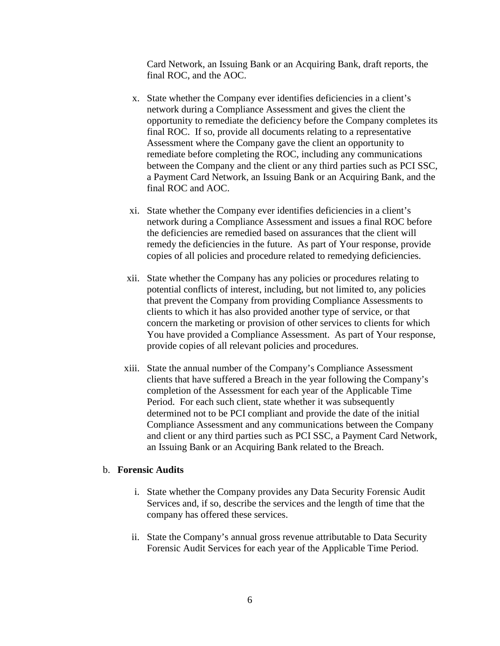Card Network, an Issuing Bank or an Acquiring Bank, draft reports, the final ROC, and the AOC.

- x. State whether the Company ever identifies deficiencies in a client's network during a Compliance Assessment and gives the client the opportunity to remediate the deficiency before the Company completes its final ROC. If so, provide all documents relating to a representative Assessment where the Company gave the client an opportunity to remediate before completing the ROC, including any communications between the Company and the client or any third parties such as PCI SSC, a Payment Card Network, an Issuing Bank or an Acquiring Bank, and the final ROC and AOC.
- xi. State whether the Company ever identifies deficiencies in a client's network during a Compliance Assessment and issues a final ROC before the deficiencies are remedied based on assurances that the client will remedy the deficiencies in the future. As part of Your response, provide copies of all policies and procedure related to remedying deficiencies.
- xii. State whether the Company has any policies or procedures relating to potential conflicts of interest, including, but not limited to, any policies that prevent the Company from providing Compliance Assessments to clients to which it has also provided another type of service, or that concern the marketing or provision of other services to clients for which You have provided a Compliance Assessment. As part of Your response, provide copies of all relevant policies and procedures.
- xiii. State the annual number of the Company's Compliance Assessment clients that have suffered a Breach in the year following the Company's completion of the Assessment for each year of the Applicable Time Period. For each such client, state whether it was subsequently determined not to be PCI compliant and provide the date of the initial Compliance Assessment and any communications between the Company and client or any third parties such as PCI SSC, a Payment Card Network, an Issuing Bank or an Acquiring Bank related to the Breach.

#### b. **Forensic Audits**

- i. State whether the Company provides any Data Security Forensic Audit Services and, if so, describe the services and the length of time that the company has offered these services.
- ii. State the Company's annual gross revenue attributable to Data Security Forensic Audit Services for each year of the Applicable Time Period.